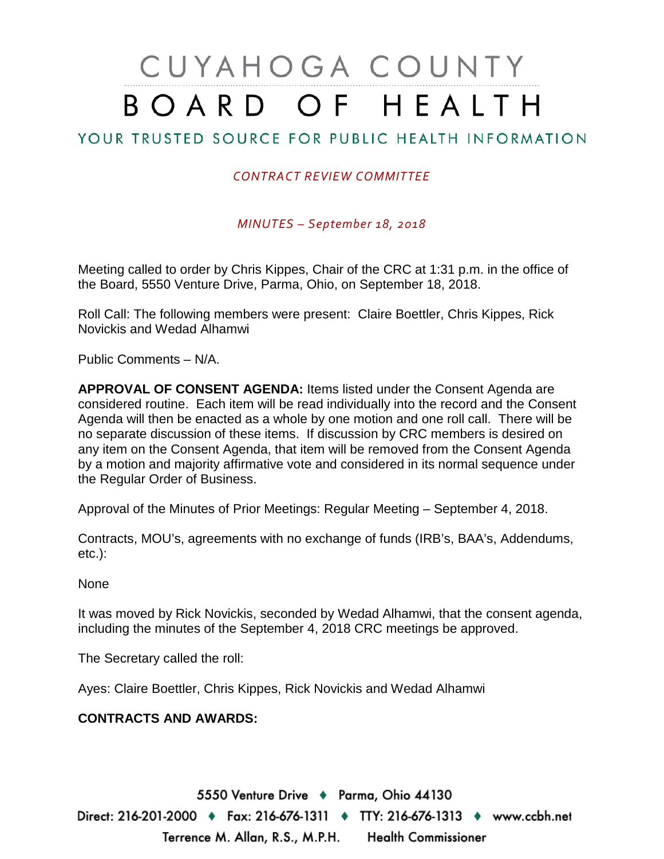## CUYAHOGA COUNTY BOARD OF HEALTH

## YOUR TRUSTED SOURCE FOR PUBLIC HEALTH INFORMATION

## *CONTRACT REVIEW COMMITTEE*

*MINUTES – September 18, 2018*

Meeting called to order by Chris Kippes, Chair of the CRC at 1:31 p.m. in the office of the Board, 5550 Venture Drive, Parma, Ohio, on September 18, 2018.

Roll Call: The following members were present: Claire Boettler, Chris Kippes, Rick Novickis and Wedad Alhamwi

Public Comments – N/A.

**APPROVAL OF CONSENT AGENDA:** Items listed under the Consent Agenda are considered routine. Each item will be read individually into the record and the Consent Agenda will then be enacted as a whole by one motion and one roll call. There will be no separate discussion of these items. If discussion by CRC members is desired on any item on the Consent Agenda, that item will be removed from the Consent Agenda by a motion and majority affirmative vote and considered in its normal sequence under the Regular Order of Business.

Approval of the Minutes of Prior Meetings: Regular Meeting – September 4, 2018.

Contracts, MOU's, agreements with no exchange of funds (IRB's, BAA's, Addendums, etc.):

None

It was moved by Rick Novickis, seconded by Wedad Alhamwi, that the consent agenda, including the minutes of the September 4, 2018 CRC meetings be approved.

The Secretary called the roll:

Ayes: Claire Boettler, Chris Kippes, Rick Novickis and Wedad Alhamwi

## **CONTRACTS AND AWARDS:**

5550 Venture Drive + Parma, Ohio 44130 Direct: 216-201-2000 ♦ Fax: 216-676-1311 ♦ TTY: 216-676-1313 ♦ www.ccbh.net Terrence M. Allan, R.S., M.P.H. Health Commissioner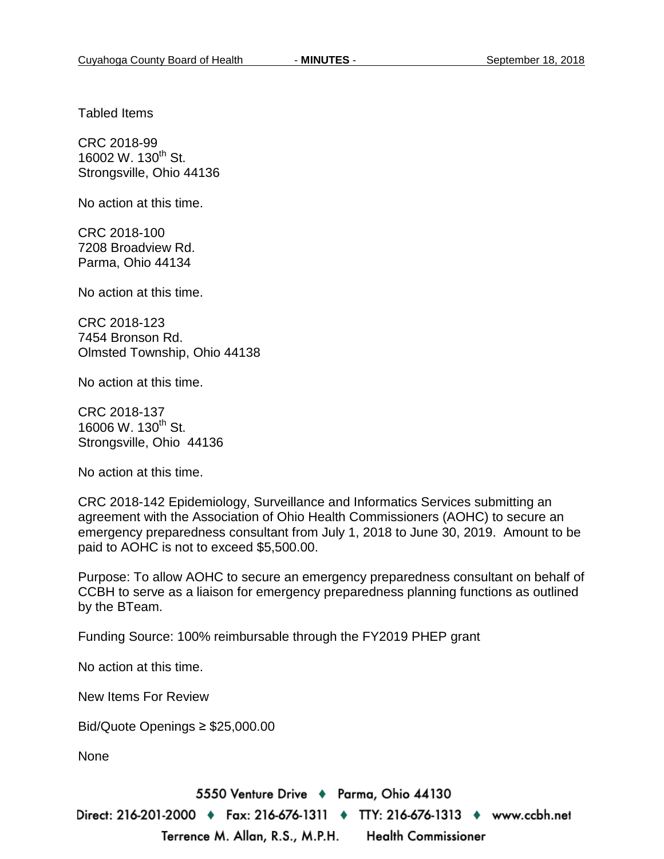Tabled Items

CRC 2018-99 16002 W. 130<sup>th</sup> St. Strongsville, Ohio 44136

No action at this time.

CRC 2018-100 7208 Broadview Rd. Parma, Ohio 44134

No action at this time.

CRC 2018-123 7454 Bronson Rd. Olmsted Township, Ohio 44138

No action at this time.

CRC 2018-137 16006 W. 130<sup>th</sup> St. Strongsville, Ohio 44136

No action at this time.

CRC 2018-142 Epidemiology, Surveillance and Informatics Services submitting an agreement with the Association of Ohio Health Commissioners (AOHC) to secure an emergency preparedness consultant from July 1, 2018 to June 30, 2019. Amount to be paid to AOHC is not to exceed \$5,500.00.

Purpose: To allow AOHC to secure an emergency preparedness consultant on behalf of CCBH to serve as a liaison for emergency preparedness planning functions as outlined by the BTeam.

Funding Source: 100% reimbursable through the FY2019 PHEP grant

No action at this time.

New Items For Review

Bid/Quote Openings ≥ \$25,000.00

None

5550 Venture Drive + Parma, Ohio 44130

Direct: 216-201-2000 ♦ Fax: 216-676-1311 ♦ TTY: 216-676-1313 ♦ www.ccbh.net Terrence M. Allan, R.S., M.P.H. **Health Commissioner**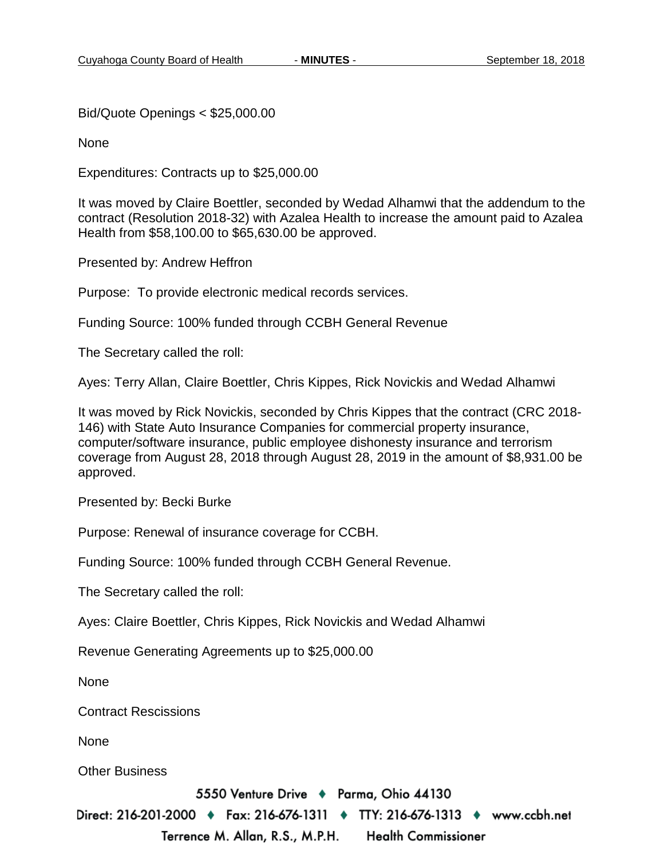Bid/Quote Openings < \$25,000.00

None

Expenditures: Contracts up to \$25,000.00

It was moved by Claire Boettler, seconded by Wedad Alhamwi that the addendum to the contract (Resolution 2018-32) with Azalea Health to increase the amount paid to Azalea Health from \$58,100.00 to \$65,630.00 be approved.

Presented by: Andrew Heffron

Purpose: To provide electronic medical records services.

Funding Source: 100% funded through CCBH General Revenue

The Secretary called the roll:

Ayes: Terry Allan, Claire Boettler, Chris Kippes, Rick Novickis and Wedad Alhamwi

It was moved by Rick Novickis, seconded by Chris Kippes that the contract (CRC 2018- 146) with State Auto Insurance Companies for commercial property insurance, computer/software insurance, public employee dishonesty insurance and terrorism coverage from August 28, 2018 through August 28, 2019 in the amount of \$8,931.00 be approved.

Presented by: Becki Burke

Purpose: Renewal of insurance coverage for CCBH.

Funding Source: 100% funded through CCBH General Revenue.

The Secretary called the roll:

Ayes: Claire Boettler, Chris Kippes, Rick Novickis and Wedad Alhamwi

Revenue Generating Agreements up to \$25,000.00

None

Contract Rescissions

None

Other Business

5550 Venture Drive + Parma, Ohio 44130

Direct: 216-201-2000 ♦ Fax: 216-676-1311 ♦ TTY: 216-676-1313 ♦ www.ccbh.net Terrence M. Allan, R.S., M.P.H. **Health Commissioner**